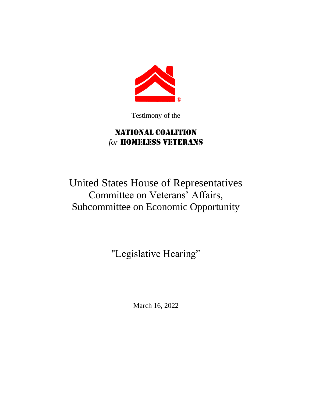

Testimony of the

## National Coalition for **HOMELESS VETERANS**

## United States House of Representatives Committee on Veterans' Affairs, Subcommittee on Economic Opportunity

"Legislative Hearing"

March 16, 2022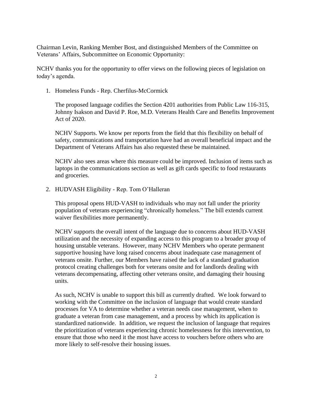Chairman Levin, Ranking Member Bost, and distinguished Members of the Committee on Veterans' Affairs, Subcommittee on Economic Opportunity:

NCHV thanks you for the opportunity to offer views on the following pieces of legislation on today's agenda.

1. Homeless Funds - Rep. Cherfilus-McCormick

The proposed language codifies the Section 4201 authorities from Public Law 116-315, Johnny Isakson and David P. Roe, M.D. Veterans Health Care and Benefits Improvement Act of 2020.

NCHV Supports. We know per reports from the field that this flexibility on behalf of safety, communications and transportation have had an overall beneficial impact and the Department of Veterans Affairs has also requested these be maintained.

NCHV also sees areas where this measure could be improved. Inclusion of items such as laptops in the communications section as well as gift cards specific to food restaurants and groceries.

2. HUDVASH Eligibility - Rep. Tom O'Halleran

This proposal opens HUD-VASH to individuals who may not fall under the priority population of veterans experiencing "chronically homeless." The bill extends current waiver flexibilities more permanently.

NCHV supports the overall intent of the language due to concerns about HUD-VASH utilization and the necessity of expanding access to this program to a broader group of housing unstable veterans. However, many NCHV Members who operate permanent supportive housing have long raised concerns about inadequate case management of veterans onsite. Further, our Members have raised the lack of a standard graduation protocol creating challenges both for veterans onsite and for landlords dealing with veterans decompensating, affecting other veterans onsite, and damaging their housing units.

As such, NCHV is unable to support this bill as currently drafted. We look forward to working with the Committee on the inclusion of language that would create standard processes for VA to determine whether a veteran needs case management, when to graduate a veteran from case management, and a process by which its application is standardized nationwide. In addition, we request the inclusion of language that requires the prioritization of veterans experiencing chronic homelessness for this intervention, to ensure that those who need it the most have access to vouchers before others who are more likely to self-resolve their housing issues.